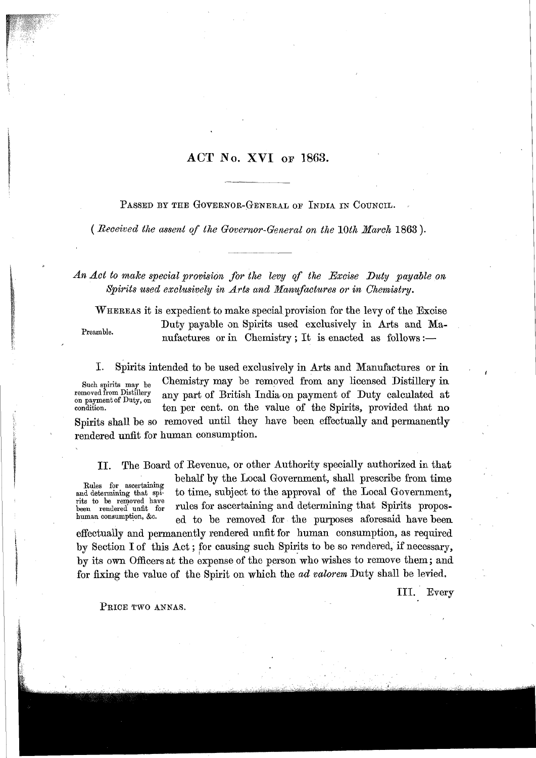## **ACT No. XVH OF 1863.**

PASSED BY THE GOVERNOR-GENERAL OF INDIA IN COUNCIL.

( *Received tlze assent of the Governor-General on the 10th March* **1863** ).

An Act to make special provision for the levy of the Excise Duty payable on *Spirits used exclusively in Arts and Manufactures or in Chemistry.* 

WHEREAS it is expedient to make special provision for the levy of the Excise Duty payable an Spirits used exclusively in Arts and Ma-Preamble. nufactures or in Chemistry ; It is enacted as follows :-

I. spirits intended to be used exclusively in hts and Manufactures or in **<sup>I</sup>** Such spirits may be Chemistry may be removed from any licensed Distillery in removed from Distillery any part of British India on payment of Duty calculated at be a variety of British India on payment of Duty calculated at on payment of Duty, on the value of the Spirits, provided that no Spirits shall be so removed until they have been effectually and permanently rendered unfit for human consumption.

**11.** The Board of Revenue, or other Authority specially authorized in that behalf by the Local Government, shall prescribe from time Rules for ascertaining<br>and determining that spito time, subject to the approval of the Local Government, rits to be removed have<br>been rendered unfit for rits to be removed nave<br>been rendered unfit for rules for ascertaining and determining that Spirits propos-<br>human consumption, &c. ed to be removed for the purposes aforesaid have been

effectually and permanently rendered unfit for human consumption, as required by Section I of this Act; for causing such Spirits to be so rendered, if necessary, by its own Officers at the expense of the person who wishes to remove them; and for fixing the value of the Spirit on which the *ad valorem* Duty shall be levied.

111. Every

PRICE TWO ANNAS.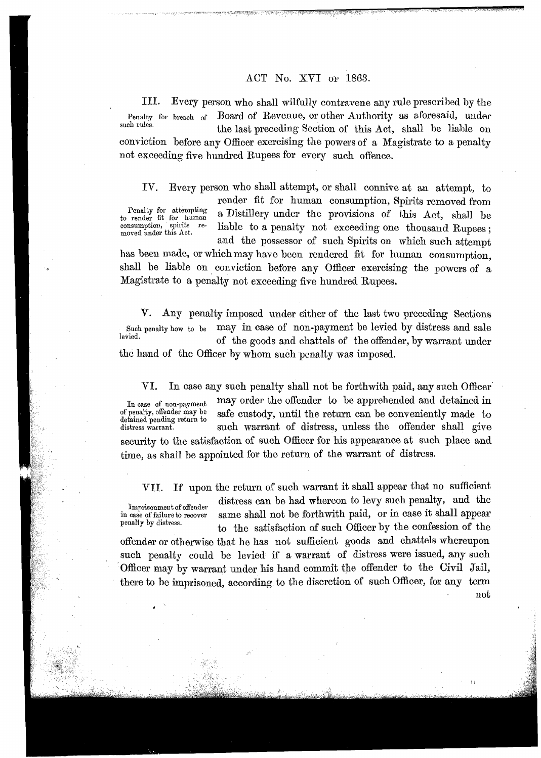## ACT No. XVI OF 1863.

111. Every person who shall wilfully contravene any rule prescribed by the Penalty for breach of Board of Revenue, or other Authority as aforesaid, under such rules. the last preceding Section of this Act, shall be liable on conviction before any Officer exercising the powers of a Magistrate to a penalty not exceeding five hundred Rupees for every such offence.

IV. Every person who shall attempt, or shall connive at an attempt, to render fit for human consumption, Spirits removed from Penalty for attempting<br>to render fit for human Penalty for attempting a Distillery under the provisions of this Act, shall be consumption, spirits re-<br>consumption, spirits re-<br>liable to a nenalty not exceeding one thousand Purses. consumption, spirits re- liable to a penalty not exceeding one thousand Rupees; and the possessor of such Spirits on which such attempt

has been made, or which may have been rendered fit for human consumption, shall be liable on conviction before any Officer exercising the powers of a Magistrate to a penalty not exceeding five hundred Rupees.

**V.** Any penalty imposed under either of the last two preceding Sections Such penalty how to be may in case of non-payment be levied by distress and sale of the goods and chattels of the offender, by warrant under the hand of the Officer by whom such penalty was imposed.

VI. In case any such penalty shall not be forthwith paid, any such Officer In case of non-payment may order the offender to be apprehended and detained in<br>of penalty, offender may be safe custody until the return can be conveniently made to safe custody, until the return can be conveniently made to detained pending return to<br>distress warrant. such warrant of distress, unless the offender shall give security to the satisfaction of such Officer for his appearance at such place and time, as shall be appointed for the return of the warrant of distress.

VII. If upon the return of such warrant it shall appear that no sufficient

Imprisonment of offender distress can be had whereon to levy such penalty, and the in case of failure to recover same shall not be forthwith paid, or in case it shall appear penalty by distress. to the satisfaction of such Officer by the confession of the

offender or otherwise that he has not sufficient goods and chattels whereupon such penalty could be levied if a warrant of distress were issued, any such 'officer may by warrant under his hand commit the offender to the Civil Jail, there to be imprisoned, according to the discretion of such Officer; for any term  $_{\rm not}$